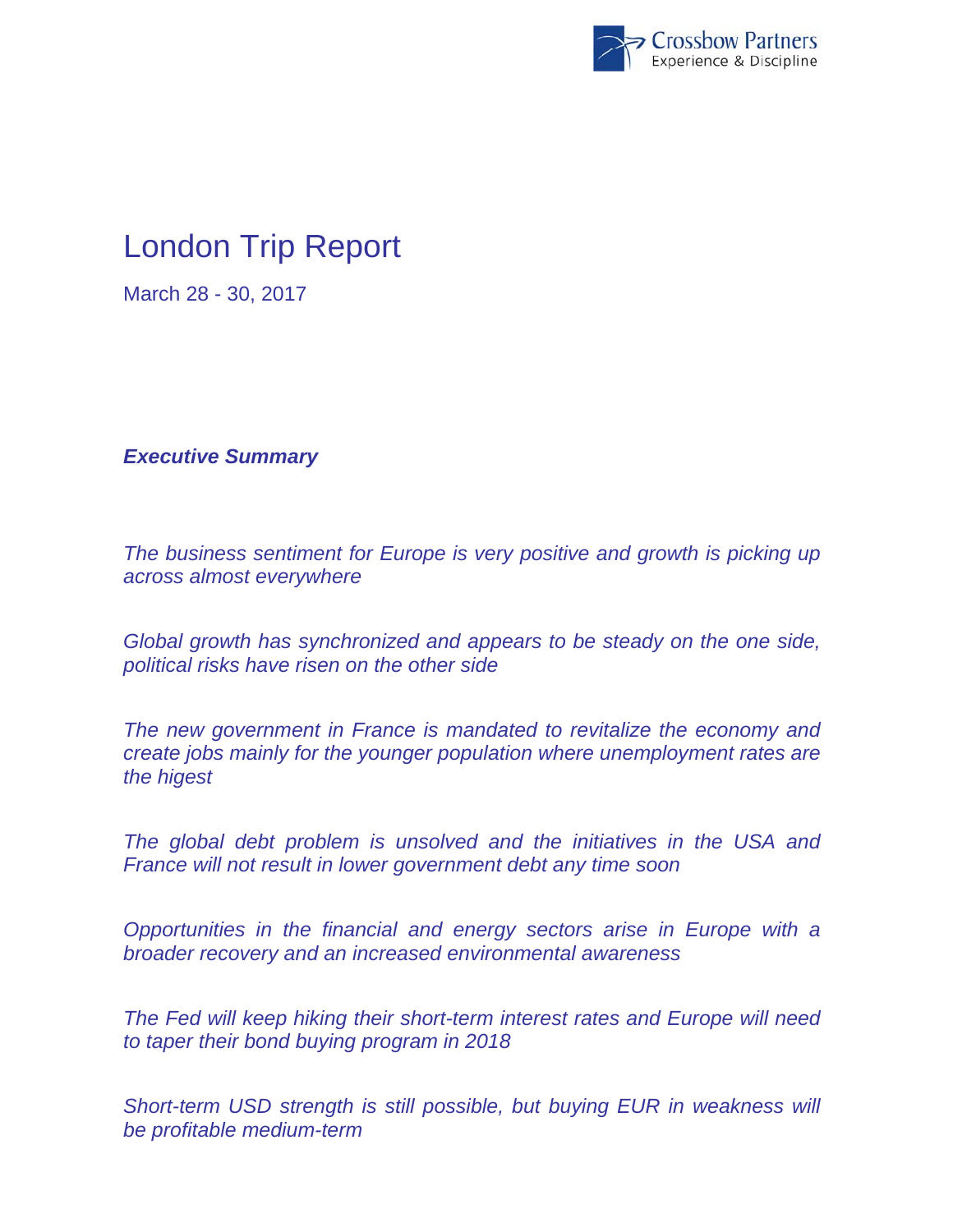

# London Trip Report

March 28 - 30, 2017

*Executive Summary* 

*The business sentiment for Europe is very positive and growth is picking up across almost everywhere* 

*Global growth has synchronized and appears to be steady on the one side, political risks have risen on the other side* 

*The new government in France is mandated to revitalize the economy and create jobs mainly for the younger population where unemployment rates are the higest* 

*The global debt problem is unsolved and the initiatives in the USA and France will not result in lower government debt any time soon* 

*Opportunities in the financial and energy sectors arise in Europe with a broader recovery and an increased environmental awareness* 

*The Fed will keep hiking their short-term interest rates and Europe will need to taper their bond buying program in 2018* 

**Short-term USD strength is still possible, but buying EUR in weakness will** *be profitable medium-term*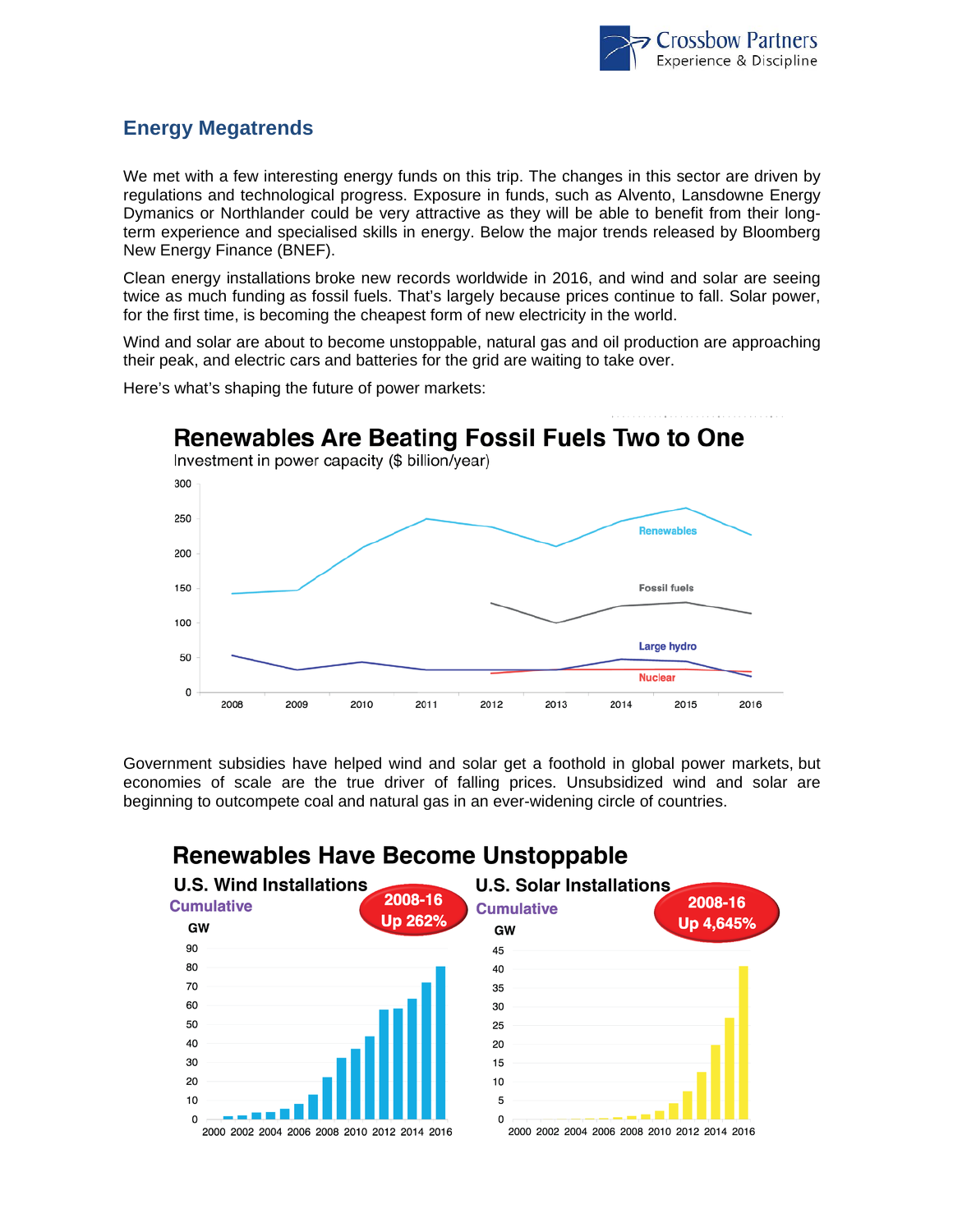

#### **Energy Megatrends**

We met with a few interesting energy funds on this trip. The changes in this sector are driven by regulations and technological progress. Exposure in funds, such as Alvento, Lansdowne Energy Dymanics or Northlander could be very attractive as they will be able to benefit from their longterm experience and specialised skills in energy. Below the major trends released by Bloomberg New Energy Finance (BNEF).

Clean energy installations broke new records worldwide in 2016, and wind and solar are seeing twice as much funding as fossil fuels. That's largely because prices continue to fall. Solar power, for the first time, is becoming the cheapest form of new electricity in the world.

Wind and solar are about to become unstoppable, natural gas and oil production are approaching their peak, and electric cars and batteries for the grid are waiting to take over.



Here's what's shaping the future of power markets:

Government subsidies have helped wind and solar get a foothold in global power markets, but economies of scale are the true driver of falling prices. Unsubsidized wind and solar are beginning to outcompete coal and natural gas in an ever-widening circle of countries.



#### **Renewables Have Become Unstoppable**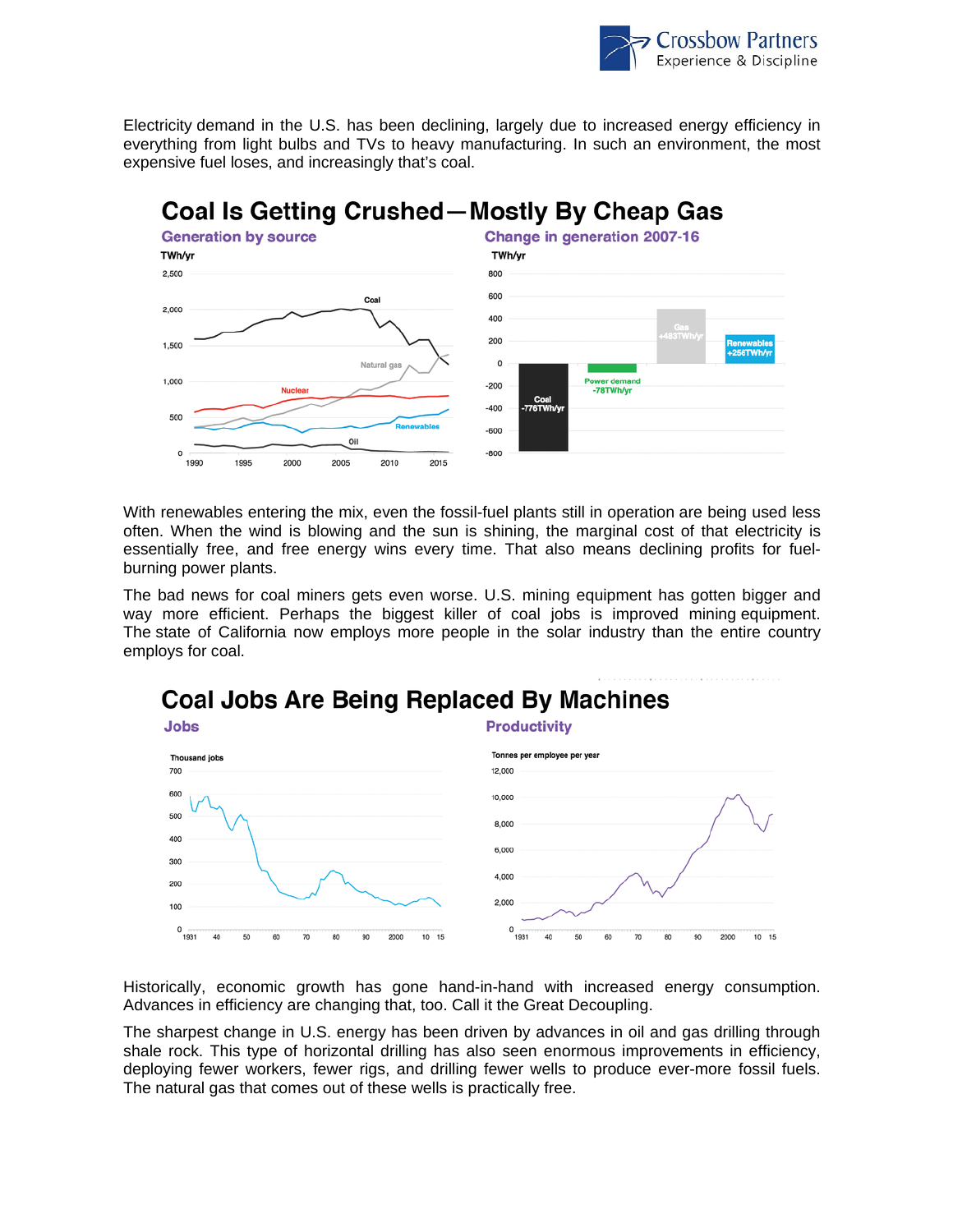

Electricity demand in the U.S. has been declining, largely due to increased energy efficiency in everything from light bulbs and TVs to heavy manufacturing. In such an environment, the most expensive fuel loses, and increasingly that's coal.



With renewables entering the mix, even the fossil-fuel plants still in operation are being used less often. When the wind is blowing and the sun is shining, the marginal cost of that electricity is essentially free, and free energy wins every time. That also means declining profits for fuelburning power plants.

The bad news for coal miners gets even worse. U.S. mining equipment has gotten bigger and way more efficient. Perhaps the biggest killer of coal jobs is improved mining equipment. The state of California now employs more people in the solar industry than the entire country employs for coal.





Historically, economic growth has gone hand-in-hand with increased energy consumption. Advances in efficiency are changing that, too. Call it the Great Decoupling.

The sharpest change in U.S. energy has been driven by advances in oil and gas drilling through shale rock. This type of horizontal drilling has also seen enormous improvements in efficiency, deploying fewer workers, fewer rigs, and drilling fewer wells to produce ever-more fossil fuels. The natural gas that comes out of these wells is practically free.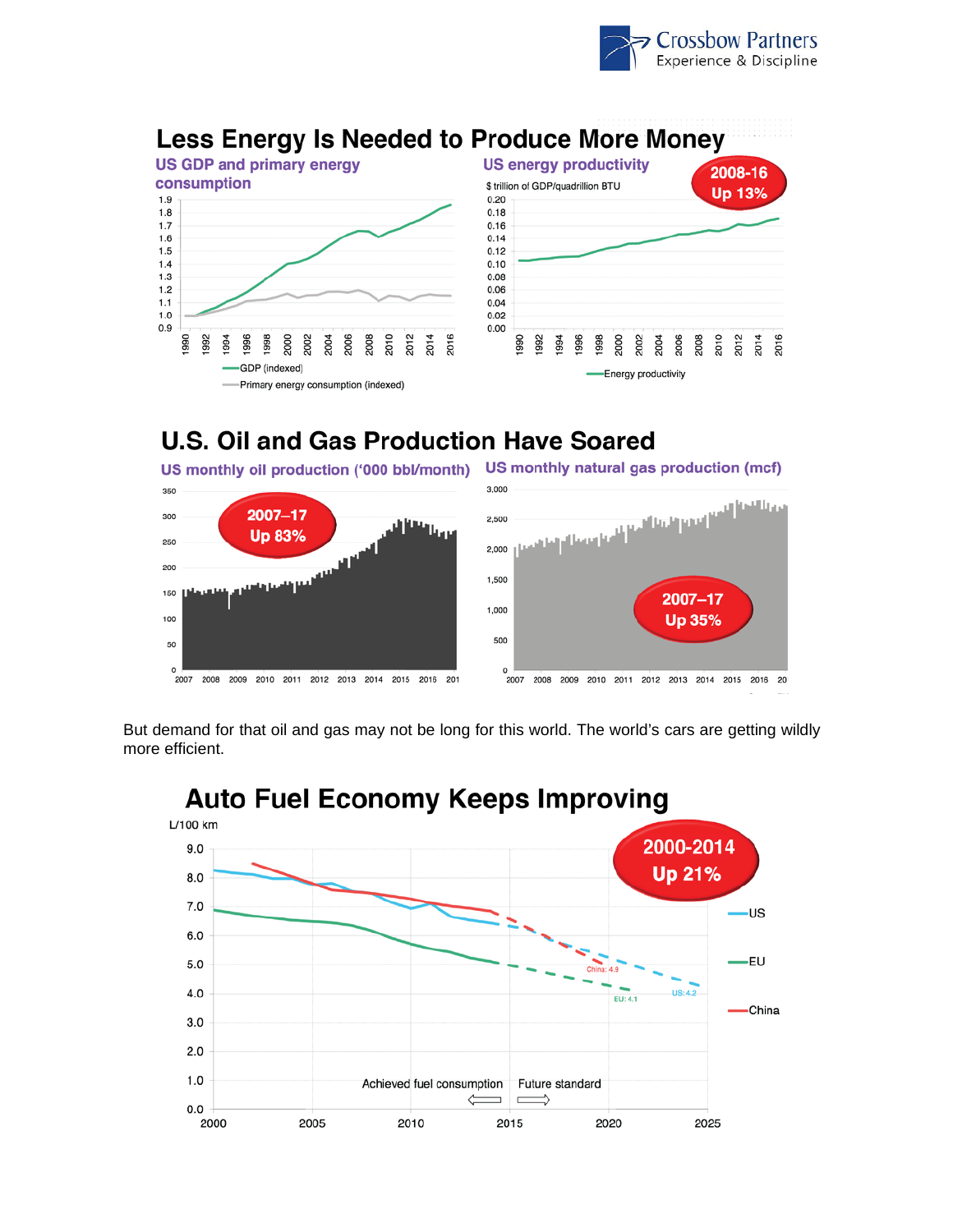



### **U.S. Oil and Gas Production Have Soared**



But demand for that oil and gas may not be long for this world. The world's cars are getting wildly more efficient.



## **Auto Fuel Economy Keeps Improving**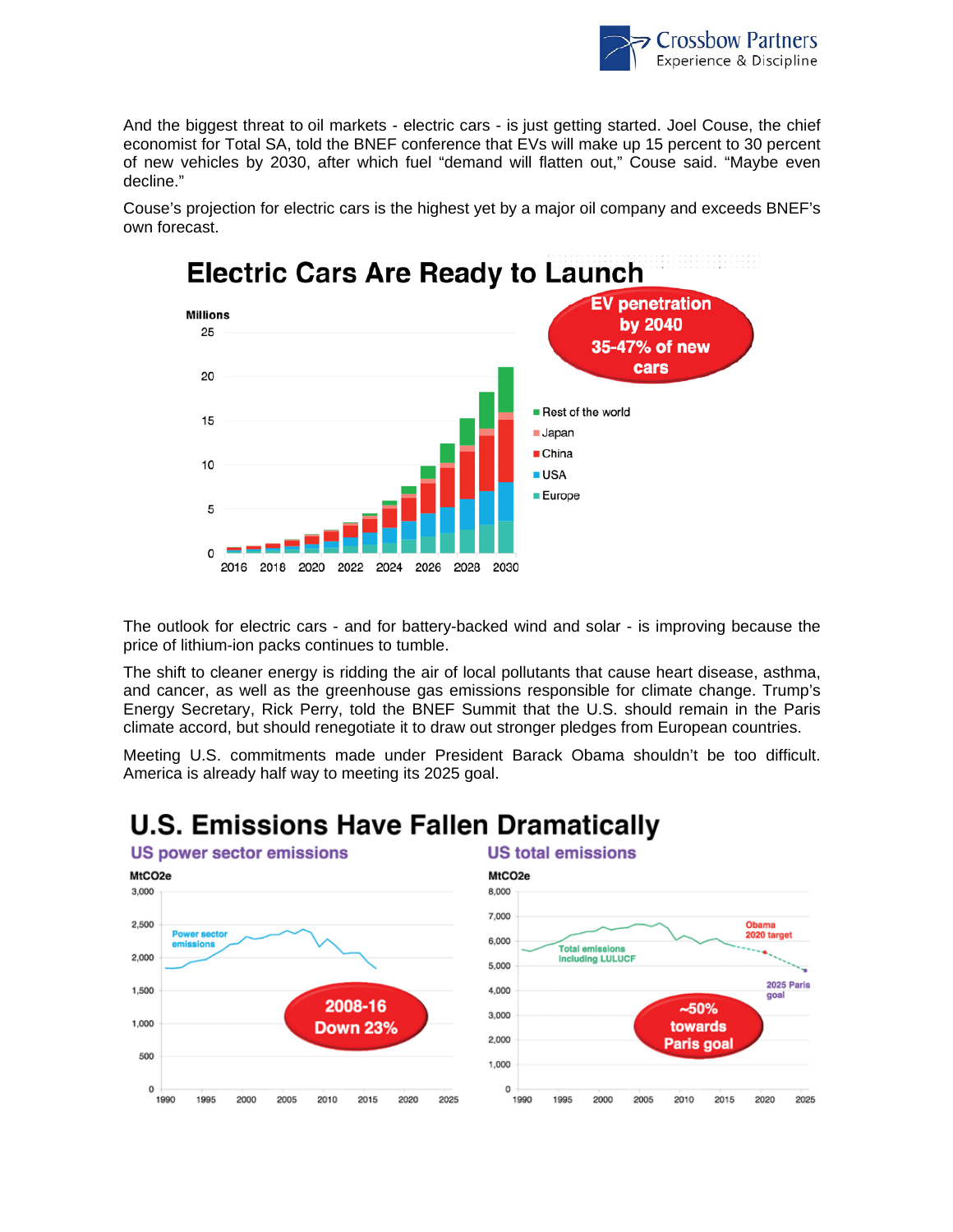

And the biggest threat to oil markets - electric cars - is just getting started. Joel Couse, the chief economist for Total SA, told the BNEF conference that EVs will make up 15 percent to 30 percent of new vehicles by 2030, after which fuel "demand will flatten out," Couse said. "Maybe even decline."



Couse's projection for electric cars is the highest yet by a major oil company and exceeds BNEF's own forecast.

The outlook for electric cars - and for battery-backed wind and solar - is improving because the price of lithium-ion packs continues to tumble.

The shift to cleaner energy is ridding the air of local pollutants that cause heart disease, asthma, and cancer, as well as the greenhouse gas emissions responsible for climate change. Trump's Energy Secretary, Rick Perry, told the BNEF Summit that the U.S. should remain in the Paris climate accord, but should renegotiate it to draw out stronger pledges from European countries.

Meeting U.S. commitments made under President Barack Obama shouldn't be too difficult. America is already half way to meeting its 2025 goal.

## **U.S. Emissions Have Fallen Dramatically**



#### **US total emissions**